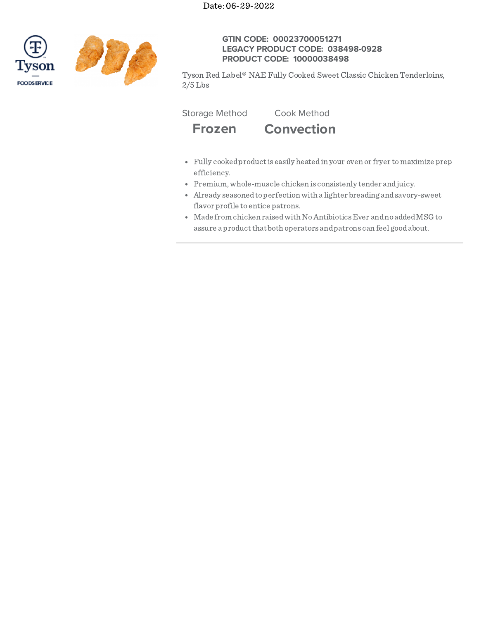



# **GTIN CODE: 00023700051271 LEGACY PRODUCT CODE: 038498-0928 PRODUCT CODE: 10000038498**

Tyson Red Label® NAE Fully Cooked Sweet Classic Chicken Tenderloins,  $2/5$  Lbs

Storage Method Cook Method



- Fully cookedproductis easily heatedin your oven or fryer tomaximize prep efficiency.
- Premium,whole-muscle chicken is consistenly tender andjuicy.
- Already seasonedtoperfectionwith a lighter breading andsavory-sweet flavor profile to entice patrons.
- Made from chicken raisedwith NoAntibioticsEver andno addedMSG to assure a product that both operators and patrons can feel good about.